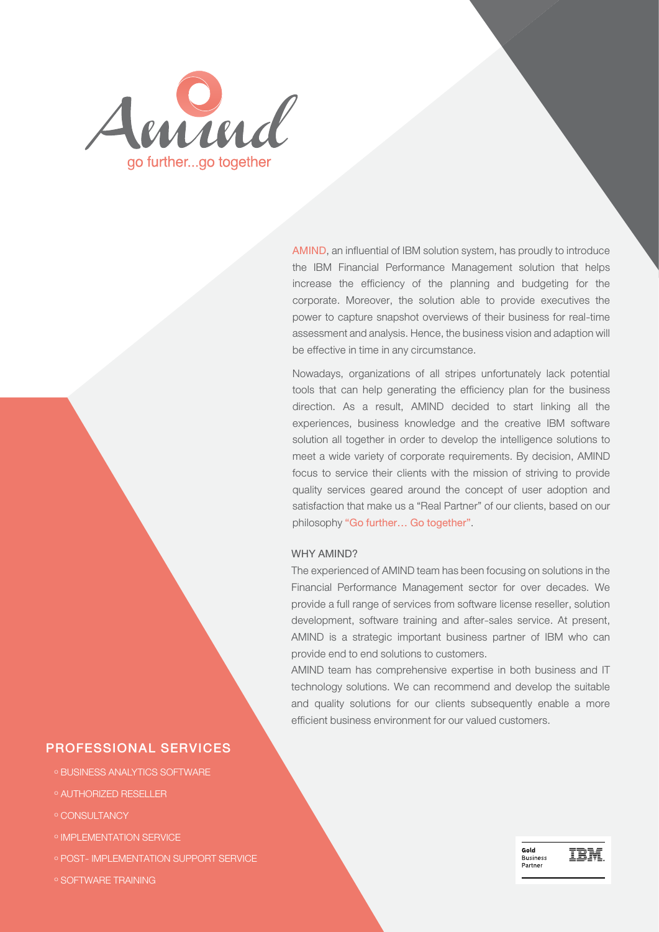

AMIND, an influential of IBM solution system, has proudly to introduce the IBM Financial Performance Management solution that helps increase the efficiency of the planning and budgeting for the corporate. Moreover, the solution able to provide executives the power to capture snapshot overviews of their business for real-time assessment and analysis. Hence, the business vision and adaption will be effective in time in any circumstance.

Nowadays, organizations of all stripes unfortunately lack potential tools that can help generating the efficiency plan for the business direction. As a result, AMIND decided to start linking all the experiences, business knowledge and the creative IBM software solution all together in order to develop the intelligence solutions to meet a wide variety of corporate requirements. By decision, AMIND focus to service their clients with the mission of striving to provide quality services geared around the concept of user adoption and satisfaction that make us a "Real Partner" of our clients, based on our philosophy "Go further… Go together".

## WHY AMIND?

The experienced of AMIND team has been focusing on solutions in the Financial Performance Management sector for over decades. We provide a full range of services from software license reseller, solution development, software training and after-sales service. At present, AMIND is a strategic important business partner of IBM who can provide end to end solutions to customers.

AMIND team has comprehensive expertise in both business and IT technology solutions. We can recommend and develop the suitable and quality solutions for our clients subsequently enable a more efficient business environment for our valued customers.

## PROFESSIONAL SERVICES

- <sup>๐</sup> BUSINESS ANALYTICS SOFTWARE
- <sup>๐</sup> AUTHORIZED RESELLER
- <sup>๐</sup> CONSULTANCY
- <sup>๐</sup> IMPLEMENTATION SERVICE
- <sup>๐</sup> POST- IMPLEMENTATION SUPPORT SERVICE
- <sup>๐</sup> SOFTWARE TRAINING